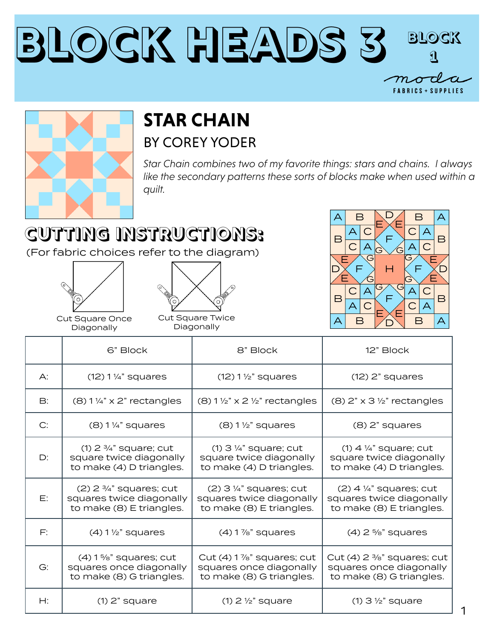#### **Block Heads 3 Block 1** $m$ o **FABRICS + SUPPLIES**



#### **STAR CHAIN** BY COREY YODER

*Star Chain combines two of my favorite things: stars and chains. I always*  like the secondary patterns these sorts of blocks make when used within a *quilt.*

## **CUTTING INSTRUCTIONS:**

(For fabric choices refer to the diagram)





Cut Square Once Diagonally

Cut Square Twice Diagonally



1

|                | 6" Block                                                                                     | 8" Block                                                                                        | 12" Block                                                                                    |
|----------------|----------------------------------------------------------------------------------------------|-------------------------------------------------------------------------------------------------|----------------------------------------------------------------------------------------------|
| $\bigwedge$ :  | $(12) 1\frac{1}{4}$ " squares                                                                | $(12) 1 \frac{1}{2}$ squares                                                                    | $(12)$ 2" squares                                                                            |
| $\mathsf{B}$ : | $(8)$ 1 1/4" x 2" rectangles                                                                 | $(8)$ 1 1/2" x 2 1/2" rectangles                                                                | $(8)$ 2" x 3 1/2" rectangles                                                                 |
| C:             | $(8)$ 1 ¼" squares                                                                           | $(8)$ 1 $\frac{1}{2}$ " squares                                                                 | $(8)$ 2" squares                                                                             |
| D:             | $(1)$ 2 $\frac{3}{4}$ " square; cut<br>square twice diagonally<br>to make (4) D triangles.   | $(1)$ 3 $\frac{1}{4}$ " square; cut<br>square twice diagonally<br>to make (4) D triangles.      | $(1)$ 4 $\frac{1}{4}$ " square; cut<br>square twice diagonally<br>to make (4) D triangles.   |
| E:             | $(2)$ 2 $\frac{3}{4}$ " squares; cut<br>squares twice diagonally<br>to make (8) E triangles. | $(2)$ 3 ¼" squares; cut<br>squares twice diagonally<br>to make (8) E triangles.                 | $(2)$ 4 $\frac{1}{4}$ " squares; cut<br>squares twice diagonally<br>to make (8) E triangles. |
| $F$ :          | $(4)$ 1 $\frac{1}{2}$ " squares                                                              | $(4)$ 1 $\frac{7}{8}$ " squares                                                                 | $(4)$ 2 %" squares                                                                           |
| G:             | $(4)$ 1 %" squares; cut<br>squares once diagonally<br>to make (8) G triangles.               | Cut $(4)$ 1 $\frac{7}{8}$ " squares; cut<br>squares once diagonally<br>to make (8) G triangles. | Cut (4) $2\frac{3}{8}$ " squares; cut<br>squares once diagonally<br>to make (8) G triangles. |
| H:             | $(1)$ 2" square                                                                              | $(1)$ 2 $\frac{1}{2}$ square                                                                    | $(1)$ 3 $\frac{1}{2}$ " square                                                               |